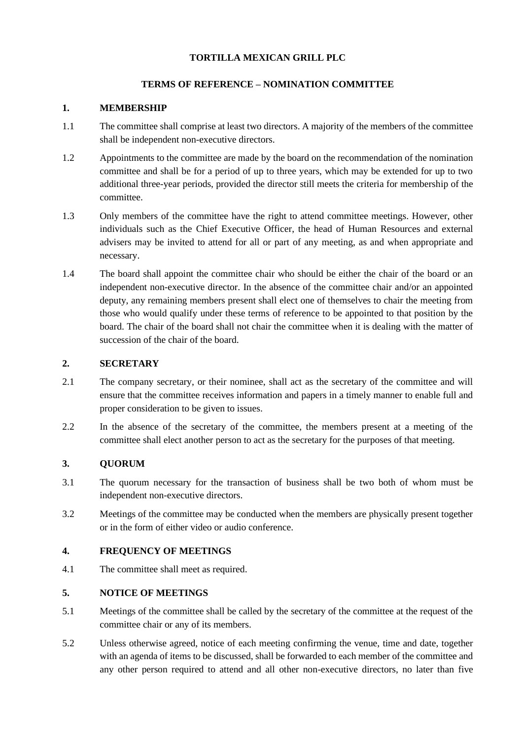## **TORTILLA MEXICAN GRILL PLC**

## **TERMS OF REFERENCE – NOMINATION COMMITTEE**

### **1. MEMBERSHIP**

- 1.1 The committee shall comprise at least two directors. A majority of the members of the committee shall be independent non-executive directors.
- 1.2 Appointments to the committee are made by the board on the recommendation of the nomination committee and shall be for a period of up to three years, which may be extended for up to two additional three-year periods, provided the director still meets the criteria for membership of the committee.
- 1.3 Only members of the committee have the right to attend committee meetings. However, other individuals such as the Chief Executive Officer, the head of Human Resources and external advisers may be invited to attend for all or part of any meeting, as and when appropriate and necessary.
- 1.4 The board shall appoint the committee chair who should be either the chair of the board or an independent non-executive director. In the absence of the committee chair and/or an appointed deputy, any remaining members present shall elect one of themselves to chair the meeting from those who would qualify under these terms of reference to be appointed to that position by the board. The chair of the board shall not chair the committee when it is dealing with the matter of succession of the chair of the board.

## **2. SECRETARY**

- 2.1 The company secretary, or their nominee, shall act as the secretary of the committee and will ensure that the committee receives information and papers in a timely manner to enable full and proper consideration to be given to issues.
- 2.2 In the absence of the secretary of the committee, the members present at a meeting of the committee shall elect another person to act as the secretary for the purposes of that meeting.

## **3. QUORUM**

- 3.1 The quorum necessary for the transaction of business shall be two both of whom must be independent non-executive directors.
- 3.2 Meetings of the committee may be conducted when the members are physically present together or in the form of either video or audio conference.

### **4. FREQUENCY OF MEETINGS**

4.1 The committee shall meet as required.

## **5. NOTICE OF MEETINGS**

- 5.1 Meetings of the committee shall be called by the secretary of the committee at the request of the committee chair or any of its members.
- 5.2 Unless otherwise agreed, notice of each meeting confirming the venue, time and date, together with an agenda of items to be discussed, shall be forwarded to each member of the committee and any other person required to attend and all other non-executive directors, no later than five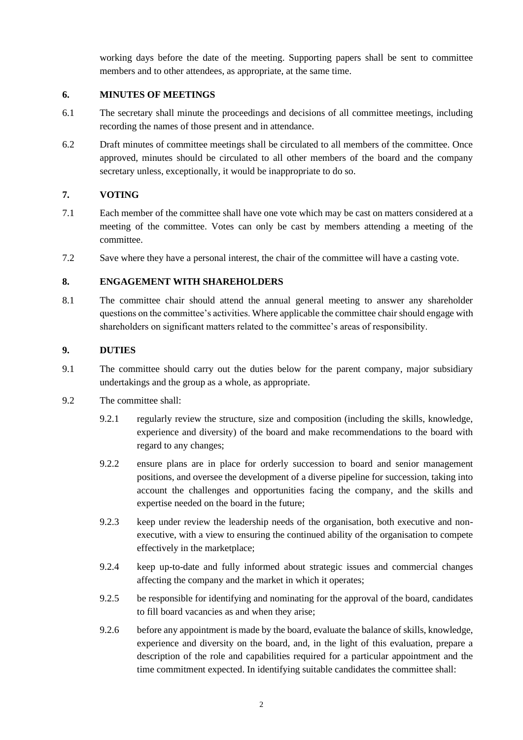working days before the date of the meeting. Supporting papers shall be sent to committee members and to other attendees, as appropriate, at the same time.

## **6. MINUTES OF MEETINGS**

- 6.1 The secretary shall minute the proceedings and decisions of all committee meetings, including recording the names of those present and in attendance.
- 6.2 Draft minutes of committee meetings shall be circulated to all members of the committee. Once approved, minutes should be circulated to all other members of the board and the company secretary unless, exceptionally, it would be inappropriate to do so.

# **7. VOTING**

- 7.1 Each member of the committee shall have one vote which may be cast on matters considered at a meeting of the committee. Votes can only be cast by members attending a meeting of the committee.
- 7.2 Save where they have a personal interest, the chair of the committee will have a casting vote.

## **8. ENGAGEMENT WITH SHAREHOLDERS**

8.1 The committee chair should attend the annual general meeting to answer any shareholder questions on the committee's activities. Where applicable the committee chair should engage with shareholders on significant matters related to the committee's areas of responsibility.

## **9. DUTIES**

- 9.1 The committee should carry out the duties below for the parent company, major subsidiary undertakings and the group as a whole, as appropriate.
- 9.2 The committee shall:
	- 9.2.1 regularly review the structure, size and composition (including the skills, knowledge, experience and diversity) of the board and make recommendations to the board with regard to any changes;
	- 9.2.2 ensure plans are in place for orderly succession to board and senior management positions, and oversee the development of a diverse pipeline for succession, taking into account the challenges and opportunities facing the company, and the skills and expertise needed on the board in the future;
	- 9.2.3 keep under review the leadership needs of the organisation, both executive and nonexecutive, with a view to ensuring the continued ability of the organisation to compete effectively in the marketplace;
	- 9.2.4 keep up-to-date and fully informed about strategic issues and commercial changes affecting the company and the market in which it operates;
	- 9.2.5 be responsible for identifying and nominating for the approval of the board, candidates to fill board vacancies as and when they arise;
	- 9.2.6 before any appointment is made by the board, evaluate the balance of skills, knowledge, experience and diversity on the board, and, in the light of this evaluation, prepare a description of the role and capabilities required for a particular appointment and the time commitment expected. In identifying suitable candidates the committee shall: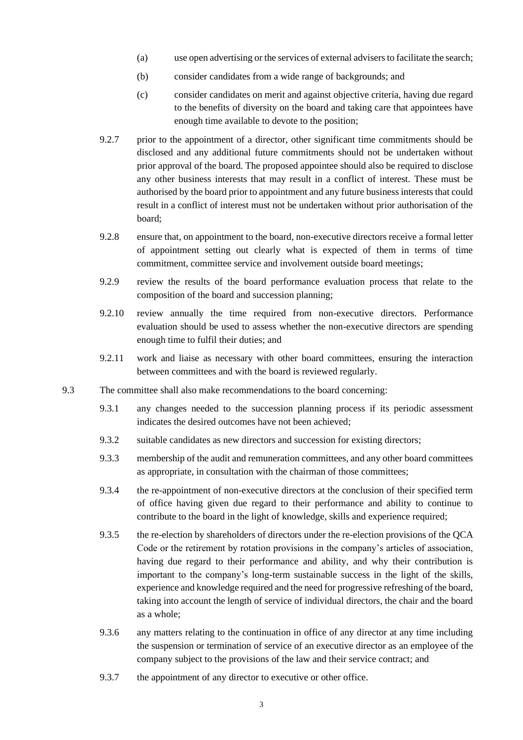- (a) use open advertising or the services of external advisers to facilitate the search;
- (b) consider candidates from a wide range of backgrounds; and
- (c) consider candidates on merit and against objective criteria, having due regard to the benefits of diversity on the board and taking care that appointees have enough time available to devote to the position;
- 9.2.7 prior to the appointment of a director, other significant time commitments should be disclosed and any additional future commitments should not be undertaken without prior approval of the board. The proposed appointee should also be required to disclose any other business interests that may result in a conflict of interest. These must be authorised by the board prior to appointment and any future business interests that could result in a conflict of interest must not be undertaken without prior authorisation of the board;
- 9.2.8 ensure that, on appointment to the board, non-executive directors receive a formal letter of appointment setting out clearly what is expected of them in terms of time commitment, committee service and involvement outside board meetings;
- 9.2.9 review the results of the board performance evaluation process that relate to the composition of the board and succession planning;
- 9.2.10 review annually the time required from non-executive directors. Performance evaluation should be used to assess whether the non-executive directors are spending enough time to fulfil their duties; and
- 9.2.11 work and liaise as necessary with other board committees, ensuring the interaction between committees and with the board is reviewed regularly.
- 9.3 The committee shall also make recommendations to the board concerning:
	- 9.3.1 any changes needed to the succession planning process if its periodic assessment indicates the desired outcomes have not been achieved;
	- 9.3.2 suitable candidates as new directors and succession for existing directors;
	- 9.3.3 membership of the audit and remuneration committees, and any other board committees as appropriate, in consultation with the chairman of those committees;
	- 9.3.4 the re-appointment of non-executive directors at the conclusion of their specified term of office having given due regard to their performance and ability to continue to contribute to the board in the light of knowledge, skills and experience required;
	- 9.3.5 the re-election by shareholders of directors under the re-election provisions of the QCA Code or the retirement by rotation provisions in the company's articles of association, having due regard to their performance and ability, and why their contribution is important to the company's long-term sustainable success in the light of the skills, experience and knowledge required and the need for progressive refreshing of the board, taking into account the length of service of individual directors, the chair and the board as a whole;
	- 9.3.6 any matters relating to the continuation in office of any director at any time including the suspension or termination of service of an executive director as an employee of the company subject to the provisions of the law and their service contract; and
	- 9.3.7 the appointment of any director to executive or other office.